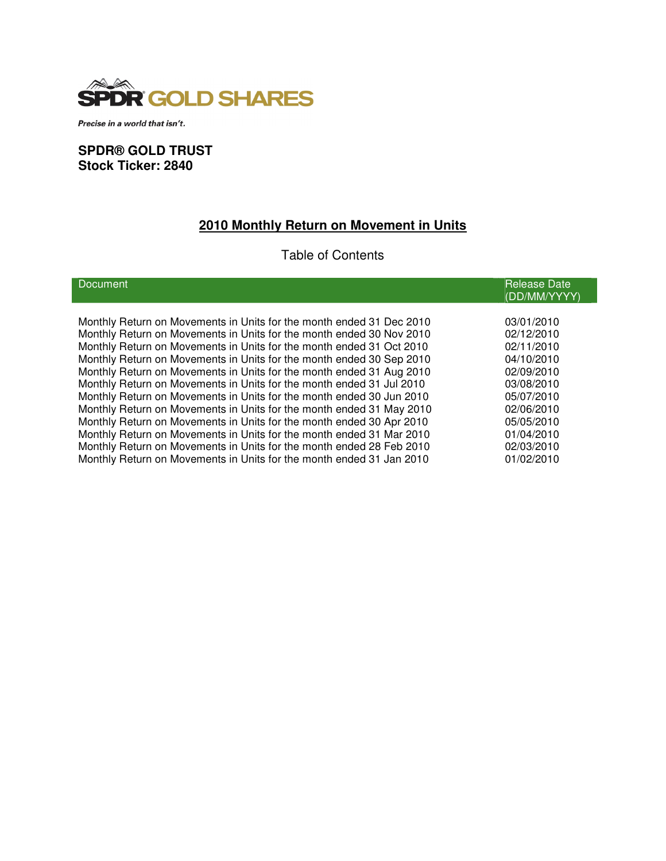

Precise in a world that isn't.

# **SPDR® GOLD TRUST Stock Ticker: 2840**

# **2010 Monthly Return on Movement in Units**

# Table of Contents

| <b>Document</b>                                                      | <b>Release Date</b><br>(DD/MM/YYYY) |
|----------------------------------------------------------------------|-------------------------------------|
|                                                                      |                                     |
| Monthly Return on Movements in Units for the month ended 31 Dec 2010 | 03/01/2010                          |
| Monthly Return on Movements in Units for the month ended 30 Nov 2010 | 02/12/2010                          |
| Monthly Return on Movements in Units for the month ended 31 Oct 2010 | 02/11/2010                          |
| Monthly Return on Movements in Units for the month ended 30 Sep 2010 | 04/10/2010                          |
| Monthly Return on Movements in Units for the month ended 31 Aug 2010 | 02/09/2010                          |
| Monthly Return on Movements in Units for the month ended 31 Jul 2010 | 03/08/2010                          |
| Monthly Return on Movements in Units for the month ended 30 Jun 2010 | 05/07/2010                          |
| Monthly Return on Movements in Units for the month ended 31 May 2010 | 02/06/2010                          |
| Monthly Return on Movements in Units for the month ended 30 Apr 2010 | 05/05/2010                          |
| Monthly Return on Movements in Units for the month ended 31 Mar 2010 | 01/04/2010                          |
| Monthly Return on Movements in Units for the month ended 28 Feb 2010 | 02/03/2010                          |
| Monthly Return on Movements in Units for the month ended 31 Jan 2010 | 01/02/2010                          |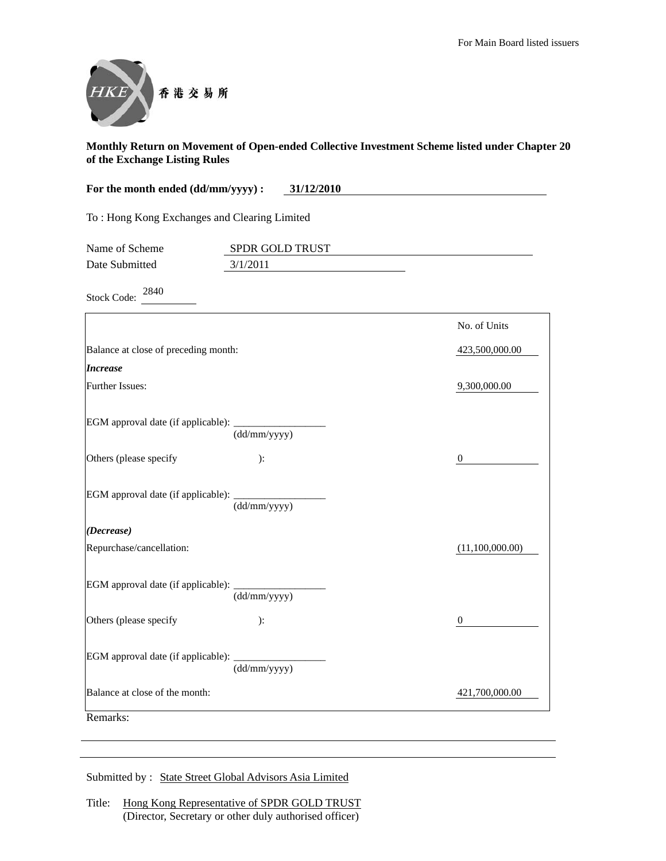

| For the month ended (dd/mm/yyyy) :<br>31/12/2010 |                 |                  |
|--------------------------------------------------|-----------------|------------------|
| To: Hong Kong Exchanges and Clearing Limited     |                 |                  |
| Name of Scheme<br>Date Submitted                 | SPDR GOLD TRUST |                  |
|                                                  | 3/1/2011        |                  |
| 2840<br><b>Stock Code:</b>                       |                 |                  |
|                                                  |                 | No. of Units     |
| Balance at close of preceding month:             |                 | 423,500,000.00   |
| <b>Increase</b>                                  |                 |                  |
| Further Issues:                                  |                 | 9,300,000.00     |
| EGM approval date (if applicable):               | (dd/mm/yyyy)    |                  |
| Others (please specify                           | ):              | $\boldsymbol{0}$ |
| EGM approval date (if applicable):               | (dd/mm/yyyy)    |                  |
| (Decrease)                                       |                 |                  |
| Repurchase/cancellation:                         |                 | (11,100,000.00)  |
| EGM approval date (if applicable):               | (dd/mm/yyyy)    |                  |
| Others (please specify                           | ):              | $\mathbf{0}$     |
| EGM approval date (if applicable):               | (dd/mm/yyyy)    |                  |
| Balance at close of the month:                   |                 | 421,700,000.00   |
| Remarks:                                         |                 |                  |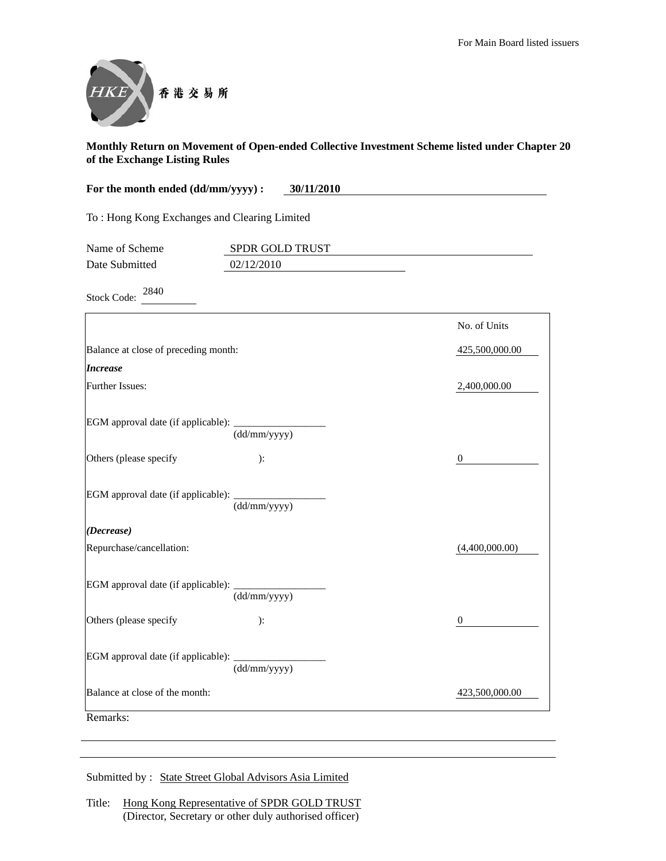

| For the month ended (dd/mm/yyyy) :<br>30/11/2010 |                               |                  |
|--------------------------------------------------|-------------------------------|------------------|
| To: Hong Kong Exchanges and Clearing Limited     |                               |                  |
| Name of Scheme<br>Date Submitted                 | SPDR GOLD TRUST<br>02/12/2010 |                  |
| 2840<br><b>Stock Code:</b>                       |                               |                  |
|                                                  |                               | No. of Units     |
| Balance at close of preceding month:             |                               | 425,500,000.00   |
| <b>Increase</b>                                  |                               |                  |
| Further Issues:                                  |                               | 2,400,000.00     |
| EGM approval date (if applicable):               | (dd/mm/yyyy)                  |                  |
| Others (please specify                           | ):                            | $\boldsymbol{0}$ |
| EGM approval date (if applicable):               | (dd/mm/yyyy)                  |                  |
| (Decrease)                                       |                               |                  |
| Repurchase/cancellation:                         |                               | (4,400,000.00)   |
| EGM approval date (if applicable):               | (dd/mm/yyyy)                  |                  |
| Others (please specify                           | ):                            | $\boldsymbol{0}$ |
| EGM approval date (if applicable):               | (dd/mm/yyyy)                  |                  |
| Balance at close of the month:                   |                               | 423,500,000.00   |
| Remarks:                                         |                               |                  |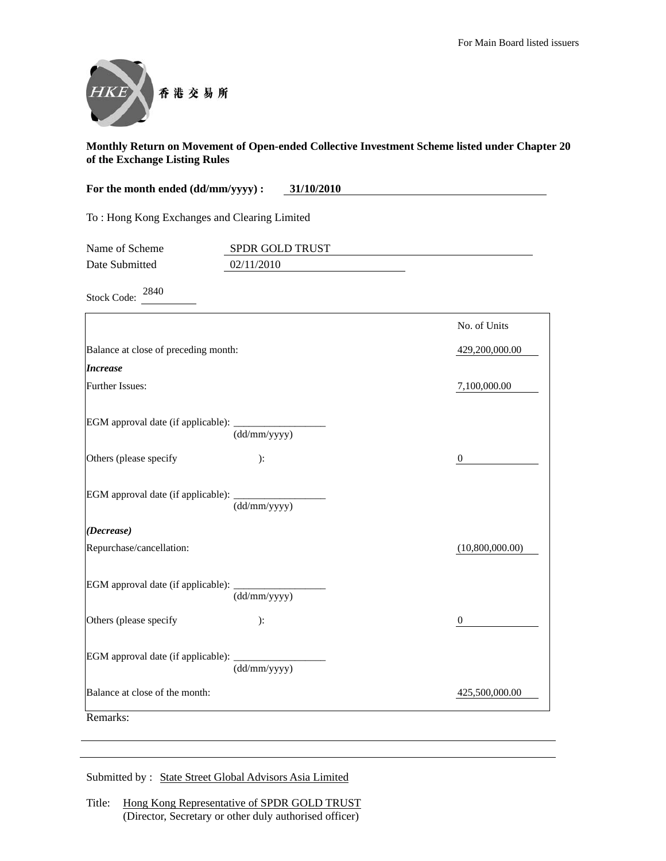

| For the month ended (dd/mm/yyyy) :           | 31/10/2010                    |                  |
|----------------------------------------------|-------------------------------|------------------|
| To: Hong Kong Exchanges and Clearing Limited |                               |                  |
| Name of Scheme<br>Date Submitted             | SPDR GOLD TRUST<br>02/11/2010 |                  |
| 2840<br><b>Stock Code:</b>                   |                               |                  |
|                                              |                               | No. of Units     |
| Balance at close of preceding month:         |                               | 429,200,000.00   |
| <b>Increase</b>                              |                               |                  |
| Further Issues:                              |                               | 7,100,000.00     |
| EGM approval date (if applicable):           | (dd/mm/yyyy)                  |                  |
| Others (please specify                       | ):                            | $\boldsymbol{0}$ |
| EGM approval date (if applicable):           | (dd/mm/yyyy)                  |                  |
| (Decrease)                                   |                               |                  |
| Repurchase/cancellation:                     |                               | (10,800,000.00)  |
| EGM approval date (if applicable):           | (dd/mm/yyyy)                  |                  |
| Others (please specify                       | ):                            | $\mathbf{0}$     |
| EGM approval date (if applicable):           | (dd/mm/yyyy)                  |                  |
| Balance at close of the month:               |                               | 425,500,000.00   |
| Remarks:                                     |                               |                  |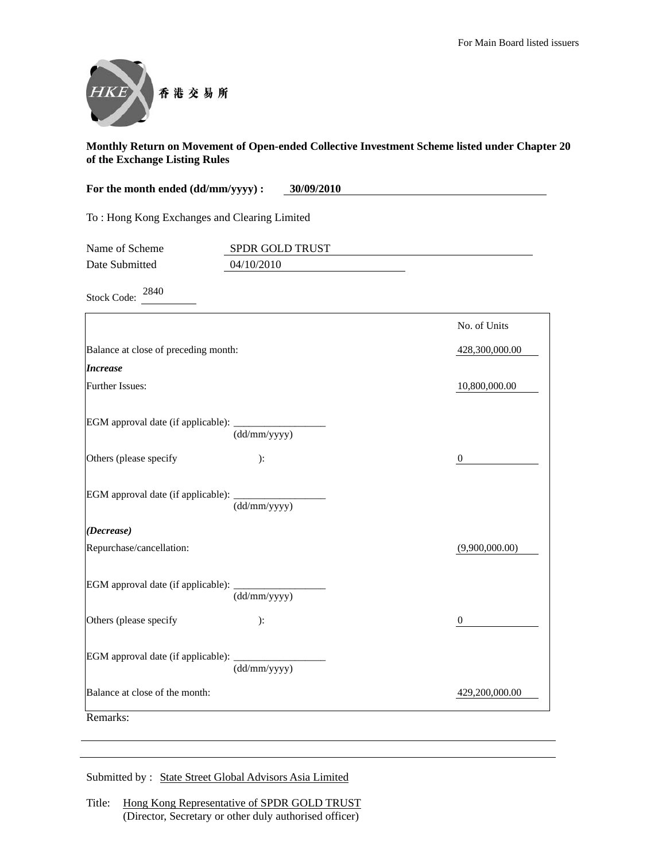

| For the month ended (dd/mm/yyyy) :           | 30/09/2010                    |                  |
|----------------------------------------------|-------------------------------|------------------|
| To: Hong Kong Exchanges and Clearing Limited |                               |                  |
| Name of Scheme<br>Date Submitted             | SPDR GOLD TRUST<br>04/10/2010 |                  |
| 2840<br><b>Stock Code:</b>                   |                               |                  |
|                                              |                               | No. of Units     |
| Balance at close of preceding month:         |                               | 428,300,000.00   |
| <i><b>Increase</b></i>                       |                               |                  |
| Further Issues:                              |                               | 10,800,000.00    |
| EGM approval date (if applicable): _         | (dd/mm/yyyy)                  |                  |
| Others (please specify                       | ):                            | $\boldsymbol{0}$ |
| EGM approval date (if applicable):           | (dd/mm/yyyy)                  |                  |
| (Decrease)                                   |                               |                  |
| Repurchase/cancellation:                     |                               | (9,900,000,00)   |
| EGM approval date (if applicable):           | (dd/mm/yyyy)                  |                  |
| Others (please specify                       | ):                            | $\boldsymbol{0}$ |
| EGM approval date (if applicable):           | (dd/mm/yyyy)                  |                  |
| Balance at close of the month:               |                               | 429,200,000.00   |
| Remarks:                                     |                               |                  |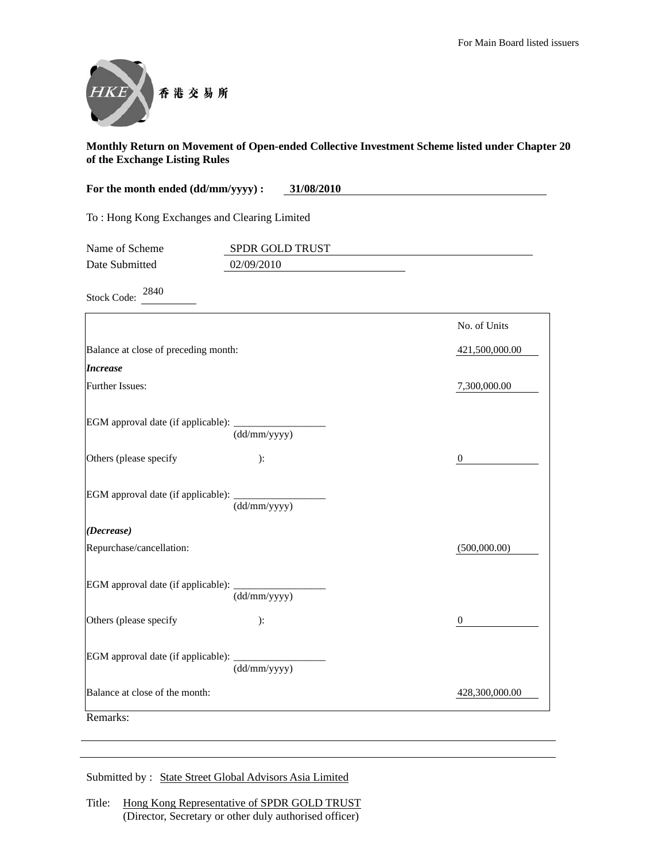

| For the month ended (dd/mm/yyyy) :<br>31/08/2010 |                           |                  |
|--------------------------------------------------|---------------------------|------------------|
| To: Hong Kong Exchanges and Clearing Limited     |                           |                  |
| Name of Scheme                                   | SPDR GOLD TRUST           |                  |
| Date Submitted                                   | 02/09/2010                |                  |
| 2840<br><b>Stock Code:</b>                       |                           |                  |
|                                                  |                           | No. of Units     |
| Balance at close of preceding month:             |                           | 421,500,000.00   |
| <b>Increase</b>                                  |                           |                  |
| Further Issues:                                  |                           | 7,300,000.00     |
| EGM approval date (if applicable):               | (dd/mm/yyyy)              |                  |
| Others (please specify                           | ):                        | $\boldsymbol{0}$ |
| EGM approval date (if applicable):               | (dd/mm/yyyy)              |                  |
| (Decrease)                                       |                           |                  |
| Repurchase/cancellation:                         |                           | (500,000.00)     |
| EGM approval date (if applicable):               | $\overline{(dd/mm/yyyy)}$ |                  |
| Others (please specify                           | ):                        | $\mathbf{0}$     |
| EGM approval date (if applicable):               | (dd/mm/yyyy)              |                  |
| Balance at close of the month:                   |                           | 428,300,000.00   |
| Remarks:                                         |                           |                  |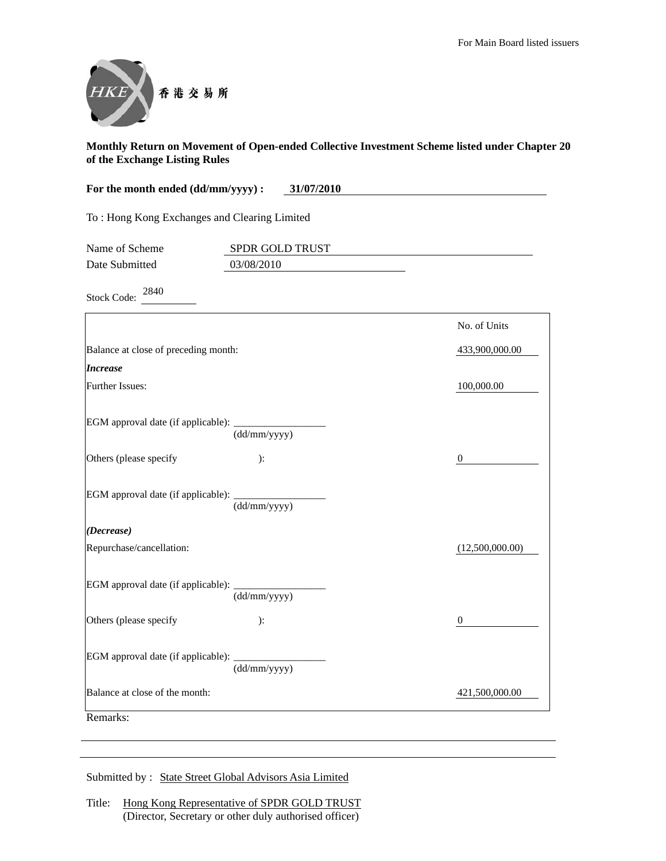

| For the month ended (dd/mm/yyyy) :<br>31/07/2010 |                               |                  |
|--------------------------------------------------|-------------------------------|------------------|
| To: Hong Kong Exchanges and Clearing Limited     |                               |                  |
| Name of Scheme<br>Date Submitted                 | SPDR GOLD TRUST<br>03/08/2010 |                  |
| 2840<br><b>Stock Code:</b>                       |                               |                  |
|                                                  |                               | No. of Units     |
| Balance at close of preceding month:             |                               | 433,900,000.00   |
| <b>Increase</b>                                  |                               |                  |
| Further Issues:                                  |                               | 100,000.00       |
| EGM approval date (if applicable):               | (dd/mm/yyyy)                  |                  |
| Others (please specify                           | ):                            | $\boldsymbol{0}$ |
| EGM approval date (if applicable):               | (dd/mm/yyyy)                  |                  |
| (Decrease)                                       |                               |                  |
| Repurchase/cancellation:                         |                               | (12,500,000.00)  |
| EGM approval date (if applicable):               | (dd/mm/yyyy)                  |                  |
| Others (please specify                           | ):                            | $\mathbf{0}$     |
| EGM approval date (if applicable):               | (dd/mm/yyyy)                  |                  |
| Balance at close of the month:                   |                               | 421,500,000.00   |
| Remarks:                                         |                               |                  |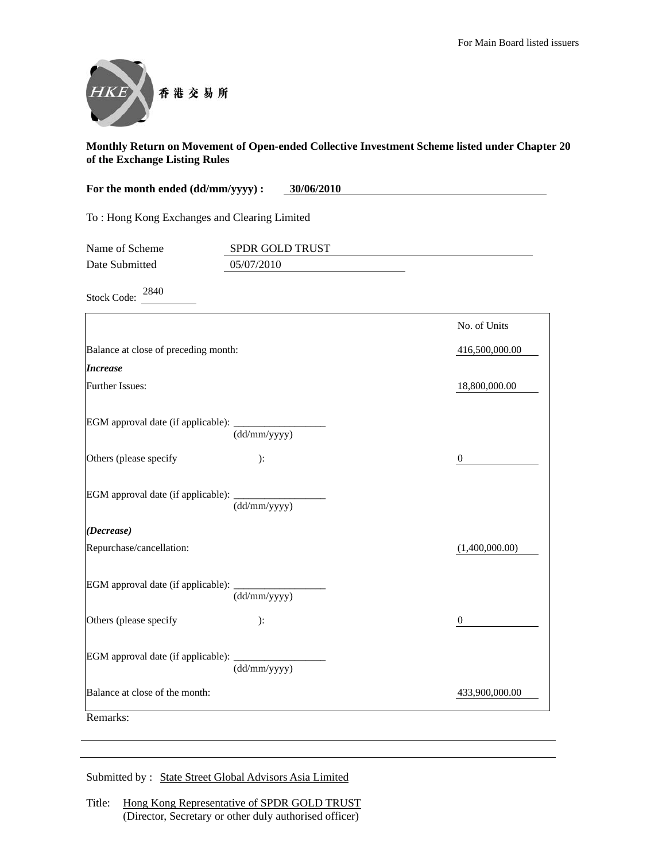

| For the month ended (dd/mm/yyyy) :<br>30/06/2010 |                               |                  |
|--------------------------------------------------|-------------------------------|------------------|
| To: Hong Kong Exchanges and Clearing Limited     |                               |                  |
| Name of Scheme<br>Date Submitted                 | SPDR GOLD TRUST<br>05/07/2010 |                  |
| 2840<br><b>Stock Code:</b>                       |                               |                  |
|                                                  |                               | No. of Units     |
| Balance at close of preceding month:             |                               | 416,500,000.00   |
| <b>Increase</b>                                  |                               |                  |
| Further Issues:                                  |                               | 18,800,000.00    |
| EGM approval date (if applicable):               | (dd/mm/yyyy)                  |                  |
| Others (please specify                           | ):                            | $\boldsymbol{0}$ |
| EGM approval date (if applicable):               | (dd/mm/yyyy)                  |                  |
| (Decrease)                                       |                               |                  |
| Repurchase/cancellation:                         |                               | (1,400,000.00)   |
| EGM approval date (if applicable):               | (dd/mm/yyyy)                  |                  |
| Others (please specify                           | ):                            | 0                |
| EGM approval date (if applicable):               | (dd/mm/yyyy)                  |                  |
| Balance at close of the month:                   |                               | 433,900,000.00   |
| Remarks:                                         |                               |                  |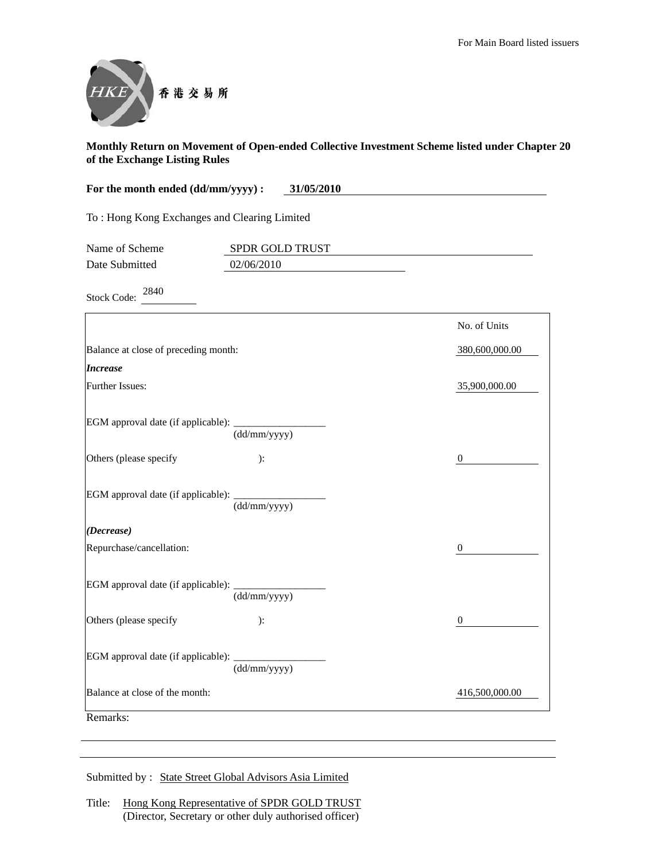

| For the month ended (dd/mm/yyyy) :<br>31/05/2010 |                 |                  |
|--------------------------------------------------|-----------------|------------------|
| To: Hong Kong Exchanges and Clearing Limited     |                 |                  |
| Name of Scheme                                   | SPDR GOLD TRUST |                  |
| Date Submitted                                   | 02/06/2010      |                  |
| 2840<br><b>Stock Code:</b>                       |                 |                  |
|                                                  |                 | No. of Units     |
| Balance at close of preceding month:             |                 | 380,600,000.00   |
| <b>Increase</b>                                  |                 |                  |
| Further Issues:                                  |                 | 35,900,000.00    |
| EGM approval date (if applicable): _             | (dd/mm/yyyy)    |                  |
| Others (please specify                           | ):              | $\mathbf{0}$     |
| EGM approval date (if applicable): ______        | (dd/mm/yyyy)    |                  |
| (Decrease)                                       |                 |                  |
| Repurchase/cancellation:                         |                 | $\theta$         |
| EGM approval date (if applicable): ______        | (dd/mm/yyyy)    |                  |
| Others (please specify                           | ):              | $\boldsymbol{0}$ |
| EGM approval date (if applicable):               | (dd/mm/yyyy)    |                  |
| Balance at close of the month:                   |                 | 416,500,000.00   |
| Remarks:                                         |                 |                  |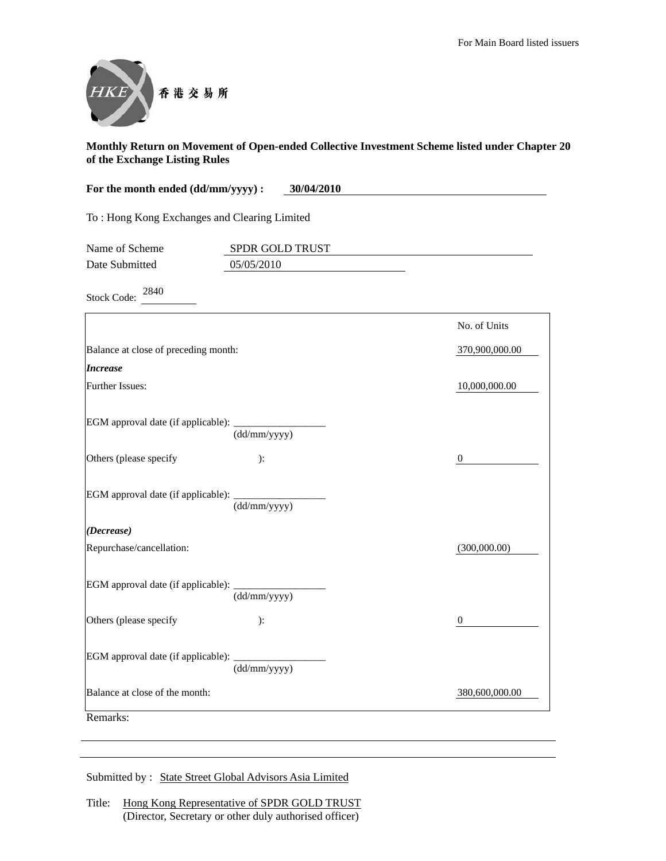

| For the month ended (dd/mm/yyyy) :<br>30/04/2010 |                               |                  |
|--------------------------------------------------|-------------------------------|------------------|
| To: Hong Kong Exchanges and Clearing Limited     |                               |                  |
| Name of Scheme<br>Date Submitted                 | SPDR GOLD TRUST<br>05/05/2010 |                  |
| 2840<br><b>Stock Code:</b>                       |                               |                  |
|                                                  |                               | No. of Units     |
| Balance at close of preceding month:             |                               | 370,900,000.00   |
| <b>Increase</b>                                  |                               |                  |
| Further Issues:                                  |                               | 10,000,000.00    |
| EGM approval date (if applicable):               | (dd/mm/yyyy)                  |                  |
| Others (please specify                           | ):                            | $\boldsymbol{0}$ |
| EGM approval date (if applicable):               | (dd/mm/yyyy)                  |                  |
| (Decrease)                                       |                               |                  |
| Repurchase/cancellation:                         |                               | (300,000.00)     |
| EGM approval date (if applicable):               | (dd/mm/yyyy)                  |                  |
| Others (please specify                           | ):                            | 0                |
| EGM approval date (if applicable):               | (dd/mm/yyyy)                  |                  |
| Balance at close of the month:                   |                               | 380,600,000.00   |
| Remarks:                                         |                               |                  |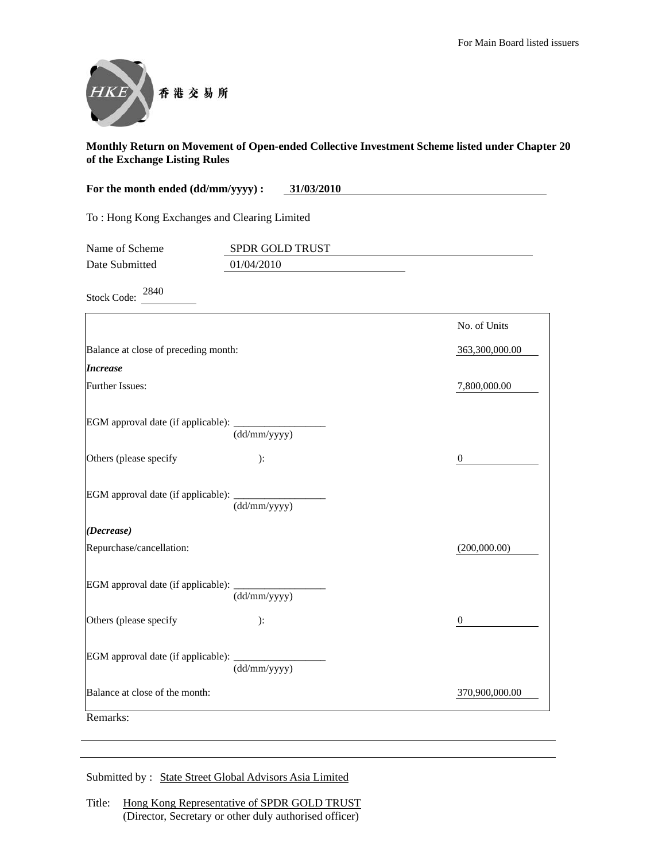

| For the month ended (dd/mm/yyyy) :           | 31/03/2010                    |                  |
|----------------------------------------------|-------------------------------|------------------|
| To: Hong Kong Exchanges and Clearing Limited |                               |                  |
| Name of Scheme<br>Date Submitted             | SPDR GOLD TRUST<br>01/04/2010 |                  |
| 2840<br><b>Stock Code:</b>                   |                               |                  |
|                                              |                               | No. of Units     |
| Balance at close of preceding month:         |                               | 363,300,000.00   |
| <b>Increase</b>                              |                               |                  |
| Further Issues:                              |                               | 7,800,000.00     |
| EGM approval date (if applicable):           | (dd/mm/yyyy)                  |                  |
| Others (please specify                       | ):                            | $\boldsymbol{0}$ |
| EGM approval date (if applicable):           | (dd/mm/yyyy)                  |                  |
| (Decrease)                                   |                               |                  |
| Repurchase/cancellation:                     |                               | (200,000.00)     |
| EGM approval date (if applicable):           | (dd/mm/yyyy)                  |                  |
| Others (please specify                       | ):                            | $\boldsymbol{0}$ |
| EGM approval date (if applicable):           | (dd/mm/yyyy)                  |                  |
| Balance at close of the month:               |                               | 370,900,000.00   |
| Remarks:                                     |                               |                  |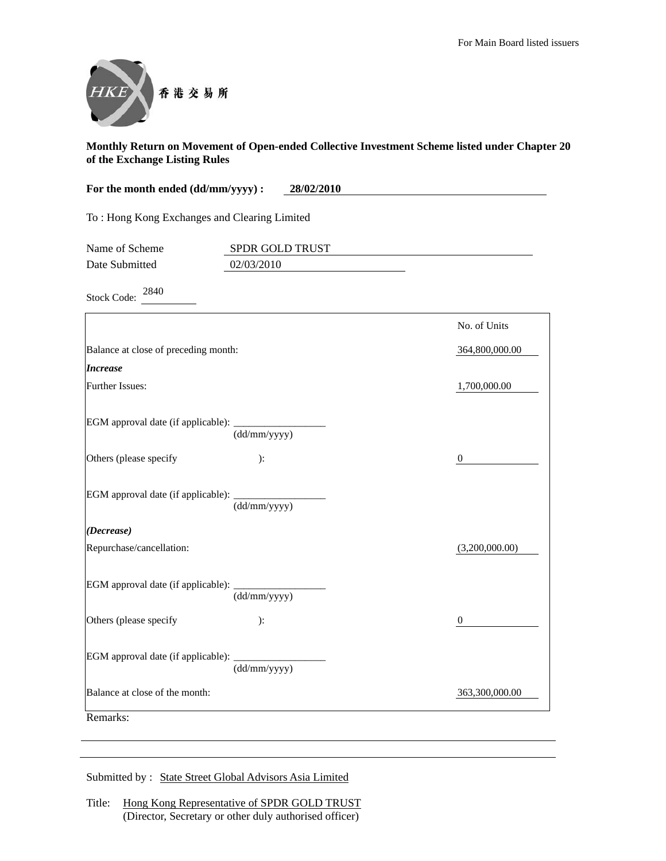

| For the month ended (dd/mm/yyyy) :<br>28/02/2010 |                               |                  |
|--------------------------------------------------|-------------------------------|------------------|
| To: Hong Kong Exchanges and Clearing Limited     |                               |                  |
| Name of Scheme<br>Date Submitted                 | SPDR GOLD TRUST<br>02/03/2010 |                  |
| 2840<br><b>Stock Code:</b>                       |                               |                  |
|                                                  |                               | No. of Units     |
| Balance at close of preceding month:             |                               | 364,800,000.00   |
| <b>Increase</b>                                  |                               |                  |
| Further Issues:                                  |                               | 1,700,000.00     |
| EGM approval date (if applicable):               | (dd/mm/yyyy)                  |                  |
| Others (please specify                           | ):                            | $\boldsymbol{0}$ |
| EGM approval date (if applicable):               | (dd/mm/yyyy)                  |                  |
| (Decrease)                                       |                               |                  |
| Repurchase/cancellation:                         |                               | (3,200,000.00)   |
| EGM approval date (if applicable):               | (dd/mm/yyyy)                  |                  |
| Others (please specify                           | ):                            | 0                |
| EGM approval date (if applicable):               | (dd/mm/yyyy)                  |                  |
| Balance at close of the month:                   |                               | 363,300,000.00   |
| Remarks:                                         |                               |                  |